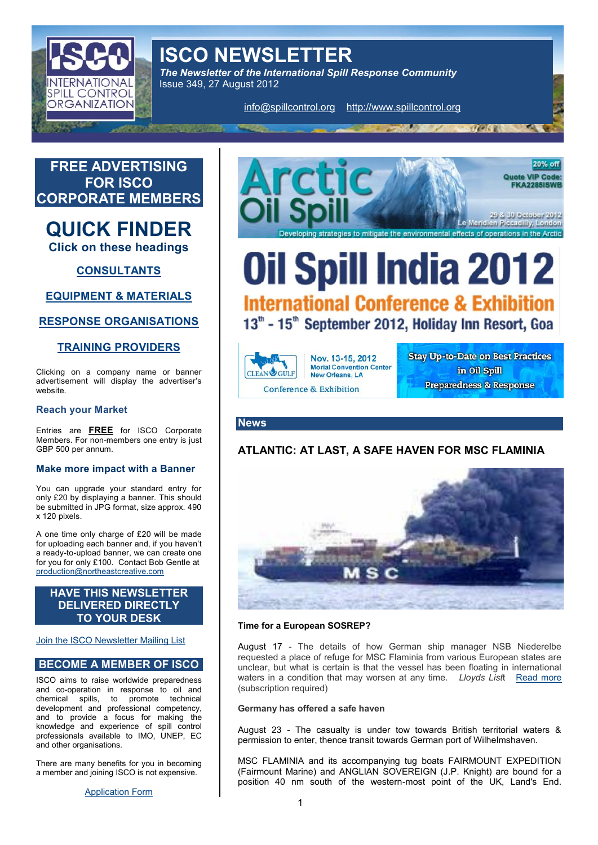ISCO NEWSLETTER The Newsletter of the International Spill Response Con Issue 349, 27 August 2012

[info@spillcon](mailto:info@spillcontrol.org)thatpar/gwww.spillcontrol.org

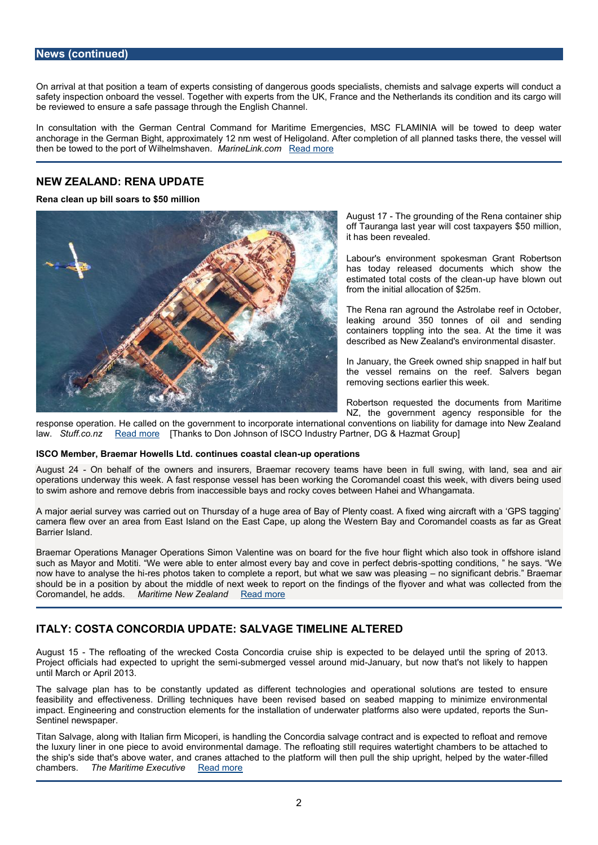On arrival tap distion a team of experts consisting of dangerous goods specialists, chen safety inspection onboard the vessel. Together with experts from the UK, France and t be reewed to ensure a safe passage through the English Channel.

In consultation with the German Central Command for Maritime Emergencies, MSC F anchorage in the German Bight, approximately 12 nmmplweet sot not fHaelligpod beammode. A that sk scothere, then be towed to the port of MY ain inneed bnish kranewerand more

## NEW ZEALAND: RENA UPDATE

Rena clean usposhisto \$50 million

August-The grounding of the Rena container and the Renandom off Tauranga last year will cost taxpay it has been revealed.

Labour's environment spokesman Gran has today released documents which estimatoetdalt costs of the blase was blown out from the initial allocation of \$25m.

The Rena ran aground the Astrolabe  $r \in \mathbb{R}$ leaking around 350 tonnes of oil a containers toppling into the sea. At t described as  $New$   $\vec{z}$  eximulation tal disaster.

In January, the Greek owned ship snap the vessel remains on the reef. Sa removing sections earlier this week.

Robertson requested the documents f NZ, the government agency responsi

response operation. He called on the government to incorporate international conventi law.Stuff.co.[Read m](http://www.stuff.co.nz/environment/rena-crisis/7499223/Rena-clean-up-bill-soars-to-50-million)ore [Thanks to Don Johnson of ISCO Industry Partner, DG & Hazmat

#### ISCO Member, Braemar Hocownelihsu Lesidcoastaul pc bepaenrations

August -2G4n behalf of the owners and insurers, Braemar recoveny, tewatmhs laade sbeeænaning operations underway A thias tweees kponse vessel has been working the Coromandel coast thi to swim ashore and remove debris from inaccessible bays and rocky coves between Hal

A major aerial survey was carried out on Thursday of a huge area of Bay of Plenty coa camera flew over an area from East Island on the East Cape, up along the Western Ba Barrier Island.

Braemar Operations Manager Operations Simon Valentine was on board for the five ho such as Mayor and Motiti. We were able to enter almost eveeproy thang and doithive enssiony pserfolle of now have to analyr**se**s phheothois taken to complete a report, but whnad swiegnsialiwcawnalBsdapebemaasning should be in a position by about the middle of next week to report on the cited ingosnoth Coromandel, he Maddistime New ZePa e and dmore

#### ITALY: COSTA COIMACOURDDATE: SALVIMALIENTE ALTERED

August -1T5 he refloating of the wrecked CostaipCois ceoxpleated uitsoe bseh delayed until the sp Project officials had expected tsou bump reingghet d three ssseem ia Januaryn, idout now that's not likely until March or April 2013.

The salvage plan has to be constant folly enutpolleated do as gides and operational solutions are the sall to ensure the sall to ensure the sall to ensure the sall to ensure the sall to ensure the sall to ensure the sall t feasibility and effectiveness. Drilling techniques have been revised based on seabe impact. Engineering and construction elemfents for the installation at also were updated, reports the Sun - th Sentinel newspaper.

Titan Salvage, along with Italian firm Micoperi, is handling the Concordia salvage cont the luxury liner in one piece trotælv**oladnegeironme** erefloating still requires watertight cha the ship's side that's above water, and cranes attached to the platform will-fillend pull chambersThe Maritime ExeRceution ore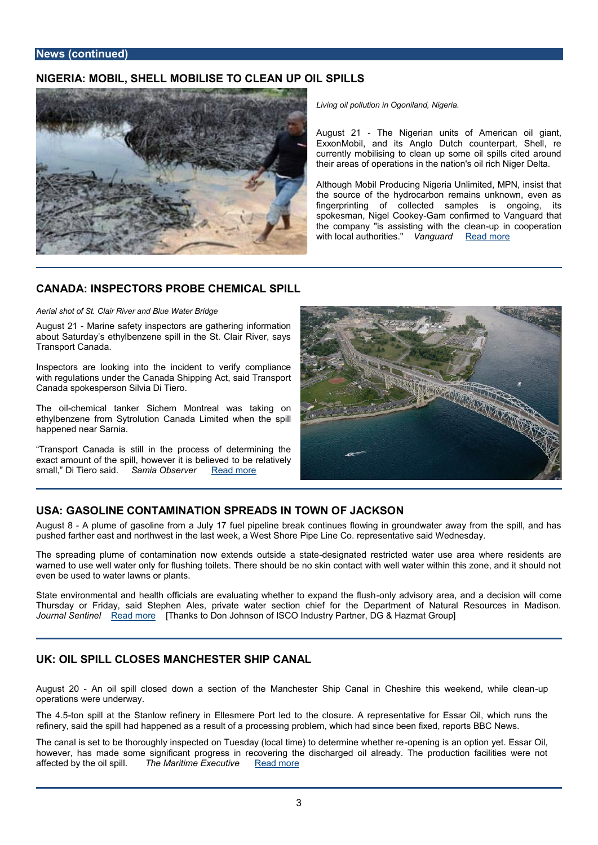## NIGERIA: MOBILL, **MGBLLISE TO OPECAINL SPILLS**

Living oil polluot ind ind, Ongigeria.

August 2The Nigeriatrs worf American oil g ExxroMobil, and its Anglo Dutch counterp currently mobilising to clean up some oil s their areas of operations in the nation's oil

Athough Mobil Producing Nigeria Unlimited, the source of the hydrocarbon remains un fingerprinting llected samples is idequing spokesman, NigelG&mokenfirmed to Vanguar the company "is assiston equal the theoperation with local authoranies. The a[d](http://allafrica.com/stories/201208210222.html) more

## CANADA: INSPECROBS CHEMICAL SPILL

Aerial shot of St. Clair River and Blue Water Bridge

August-2Marinseafety inspectors are gathering information about Saturday s ethylbenzene spill in the St. Clair River, says Transport Canada.

Inspectors are looking into the incident to verify compliance with regulations under the Canada Shipping Act, said Transport Canada spokesperson Silvia Di Tiero.

The  $\omega$  illemical tanker Sichem Montreal was taking on ethylbenzene from Sytrolution Canada Limited when the spill happened near Sarnia.

 Transport Canada is still in the process of determining the exact amount of, the wepell it is believed to be relatively small, Di Tier Samaid. Obser [Read m](http://www.theobserver.ca/2012/08/21/inspectors-probe-chemical-spill)ore

### USAGASOLINE CONTAQMINISAPTIRE ADS IN TFOJVANCIASON

August  $8$  bume of gasoline from a July 17 fuel pipeline break continues flowing in gro pushed farther east and northwest in the last week, a West Shore Pipe Line Co. repres

The spreading plume ot for aontamienxatends outsdinedseigan astteaderestricted water use area whe warned to use well water only for flushing toilets. There should be no skin contact wit even be used to wat prial nat wsns or

State environmental and health officials are evaluat<del>iong lyw hed this ortyona rea anad nodha diousits</del> ionly and the and the state is and the state of the come to me and a the come to me and a the come to me and the state Thursday or Friday, said Stephen Ales, private water section chief for the Depart Journal Sentinel [Read m](http://www.jsonline.com/news/ozwash/gasoline-contamination-spreads-in-town-of-jackson-5k6dvv9-165507306.html)ore [Thanks to Don Johnson of ISCO Industry Partner, DG & Hazmat Group]

### UK: OIL SPILLESLMOSN CHESTER AS NHP C

August -2An oil spill closed down a section of the Manchester Ship Canal inpCheshi operations were underway.

The 4t.65n spill at the Stanlow refinery in Ellesmere Posretniteadivte fore Essagure. A which runs the represent refinery, said the spill had happened as a result of a processing problem, which had si

The canal is set to be thoroughly inspected on Tuesday (loopealing imise) ano opeternmy ete. Esseta however, has made some significant progress in recovering the discharged oil alrea affected by the omhspMaritime Exertain and the ore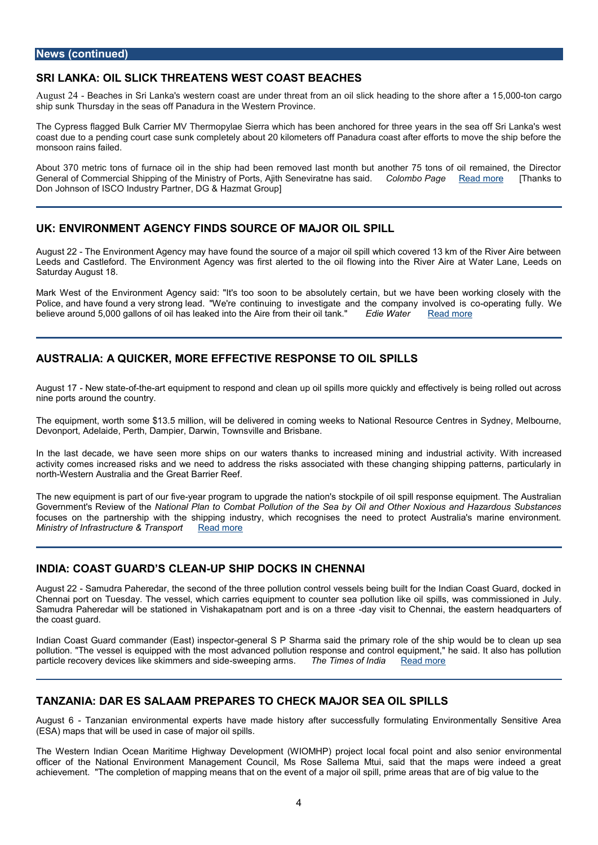### SRI LANKA: OIL **SHLRGEATENNEST COAST BEACHES**

August-E2e4aches in Sri Lanka's western coast are under threat from an 50,100s00binckcahregaedin ship sunk Thursday in the seas off Panadura in the Western Province.

The Cypress flagged Bulk Carrier MV Thermopylae Sierra which has been anchored for coast due to a pending court extæs y about c $20$  on pkilometers off Panadura coast after efforts monsoon rains failed.

About 370 metric tons of furnace oil in the ship had been removed last month but an General of Coimulm Schirc pping of the Ministry of Ports, AjithCoSI emeto oir Pating on and the and a Thanks t Don Johnson of ISCO Industry Partner, DG & Hazmat Group]

#### UK: ENVIRONMENT A GIENNOCSY SOURCE OF MALLIGIPILL

August-Zhe Environment Agency may have found the source of a major oil spill which c Leeds and Castleford. The Environment Agency WoawsinfgrstntelehreedRitvoerthAeiroeilat Water L Saturday August 18.

Mark West of the Environment Agency said: "It's too soon to be absolutely certain, b Police, and have found a veWyestronog initegatio investigate and the company ranimod veually's been in believe around 5,000 gallons of oil has leaked into Eldie AW read office and ome ir oil tank.

## AUSTRALIA: A QUIMORER EFFECTIRGENRESTO OIL SPILLS

August - New state heart equipment to respond and clean up oil spills more quickly and ef nine ports around the country.

The equipments owno et \$13.5 million, will be delivered in coming weeks to National Reso Devonport, Adelaide, Perth, Dampier, Darwin, Townsville and Brisbane.

In the last decade, we have seen more ships on ourinwiantoerasnthainmooksstoiaihcaroetainsietoy.mWi activity comes increased risks and we need to address the risks associated with thes nortWestern Australia and the Great Barrier Reef.

The new equipment os arp fist extend program to upgrade the nation's stockpile of oil spill resp Government's Revilew tion the Plan to Combat Pollution of the Sea by Oil and Other Noxi focuses on the parittment ship is hipping industry, which recognises the need to protect  $A$ Ministry of Infrastructure R& ald am sport

### INDIA: COAST GUALDEDAUSSP SHIP DOCKS NNACHE

August- $\mathcal{B}$ Amudra Paheredar, the second of the three pollution control vessels being bu Chennai port on Tuesday. The vessel, which carerae pod but ipment tet coid osupit les, swas commi Samudra Paheredar will be stationed in Vishakapadaam is otto and hen man athereastern he the coast guard.

Indian Coast Guard commander-g(eEnæerta) PissS shpaeront op rsaid the primary role of the ship woul pollution. "The vessel is equipped with the most advanced pollution response and cont particle recovery devices like -swimerpongemas masn.The Indexide mes of <u>InRodatal</u> more

#### TANZANIA: DAR **ES MS ARE PARES TO CHAHOR SEA OLIS SPIL**

August *Ganzanian environmental experts have made history after successfully formul* (ESA) maps that will be used in case of major oil spills.

The Western Indian Ocean Maritime Highway Development (nWIODnMdHP) soproseencior locana linfoon officer of the National Environment Management Council, Ms Rose Sallema Mtui, sa achievem enthe completion of mapping means that on the event of aemodioirgoval supellto pthien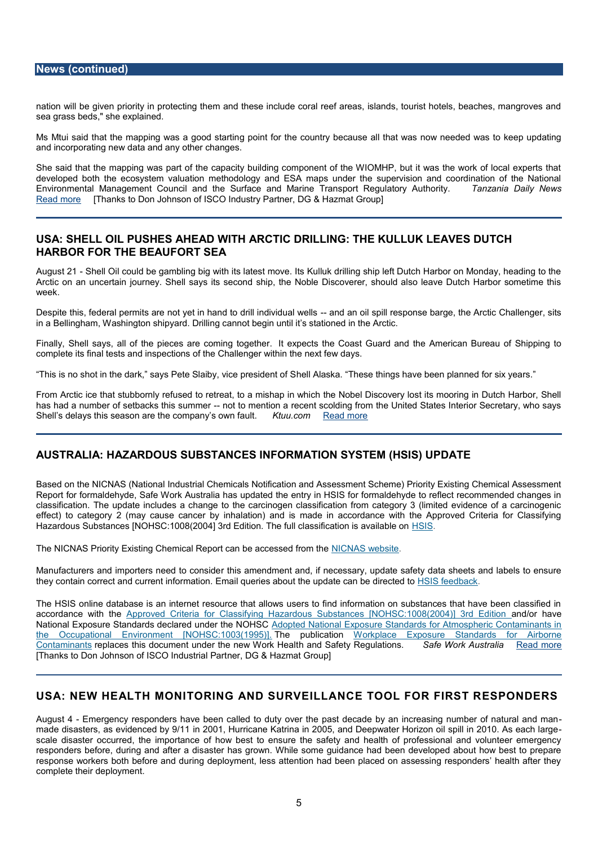nation ill be given priority in protecting them and these include coral reef areas, islan sea grass beds," she explained.

Ms Mtui said that the mapping  $\boldsymbol{y}$  apso antgofood tshteardioruntry because all that was now needed was to keep up to keep up and  $\boldsymbol{w}$ and incorporating new data and any other changes.

She said that the mapping was part of the capacity building component of the WIOMH developed both the ecosystem valuation methodology and ESA maps under the superv Environmental Management Council and the Surface and Marine Traanzsaport DRaeighulaNtor [Read m](http://allafrica.com/stories/201208060192.html)ore [Thanks to Don Johnson of ISCO Industry Partner, DG & Hazmat Group]

## USA: SHELL OIL SPUSHEAD WITH ADRICTLIONG: THE KUEA WES DUTCH HARBOR FOR THE OBRETA BEA

August- $\mathfrak A$ hellilO could be gambling big with its latest move. Its Kulluk drilling ship left D Arctic on an uncertain journey. Shell says its second ship, the Noble Discoverer, sho week.

Despithis, federal permits are not yet in hand anod darmilloih osipviild uraels pwoemilsse barge, the Arct in a Bellingham, Washington shipyard. Drilling cannot begin until it s stationed in the

Finally, Shell soay the a plieces are comintge togenethere. Coast Guard and the American Bureau of Shipping to complete its final tests and inspections of the Challenger within the next few days.

This is no shot in the dark, says Pete Shlealib Ay laws ikcae. pitchse is the ming Shave been planned

From Arctic ice that stubbornly refused to retreat, to a mishap in which the Nobel Dis has had a number of setback-snothis os menumide or a scolding from the United States Interior Shell s delays this season are the comiting anyour seaw of mean that  $k$ .

### AUSTRALIA: HAZARGDUOBUS STANCES IN FIONEMISAYTS TEM (HBIAST) EUP

Based on the NICNAS (National Industrial Chemicals Notification and Assessment Sche Report for formaldehyde, Safe Work Australia has updated the entry in HSIS for formal classification. The update includes a change to the carcinogen classification from ca effect) to category 2 (may cause cancer by inhalation) and is made in accordance w Hazardous Substances [NOHSC:1008(2004] 3rd Edition. The Susicularition is availa

The NICNAS Priority Existing Chemical ReportNd am be analogisted from the

Manufacturers and importers rnteheid to amendminent and, if necessary, update safety data sheets they contain correct and curEfennatiling fuoermies ioanoby poduate hean be d<u>ihiesde ede teod</u> back

The HSIS online database is an internet resource that allows users to find information accordance w<u>iAs prhowed Criteria for Classifying Hazardous Substances [</u>alnOdHoSnC:hia00e8( National Exposure Standards declare Addupted Natibio HSE xposure Standards for Atmosph [the Occupational Environment \[N](http://www.safeworkaustralia.gov.au/sites/SWA/AboutSafeWorkAustralia/WhatWeDo/Publications/Pages/NS1995AdoptedExposureStandards.aspx)OTHSC: pubBicalWBo5nklplace Exposure Standards for [Contamin](http://www.safeworkaustralia.gov.au/sites/SWA/AboutSafeWorkAustralia/WhatWeDo/Publications/Pages/Exposure-Standards-Airborne-Contaminants.aspx)agenot saces this document under the amedw SW foerty  $R$ eesalt la Ssiao frees Work Australiamore [Thanks to Don Johnson of ISCOP.InDdGe s& ribed ZP mearth Group]

#### USA: NEW HEALTH OMROINIG AND SURVIELLIZO OL FOR FERSSPONRDERS

August Emergency responders have been called to duty over the past decade by an in made disasters, as evidenc<sup>20</sup>00by **9**/11 ticane Katrina in 2005, and Deepwater Horizon oi scale disaster occurred, the importance of how best to ensure the safety and health responders before, during a and raffas garodwin. While some guidance had been developed response workers both before and during deployment, less attention had been placed complete their deployment.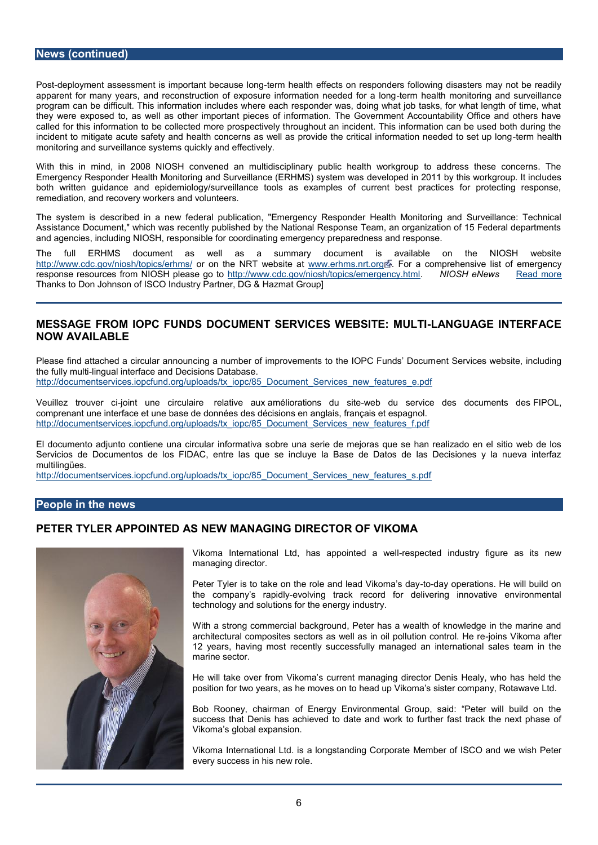Posdeployment assessment is important bheecaulth be effencots on responders following disast apparent for many years, and reconstruction of exposurteerimnfohrematatthiom comeie od reional soul progam can be difficult. This information includes where each responder was, doing wh they were exposed to, as well as other important pieces of information. The Governn calde for this information to be collected more prospectively throughout an incident. The incident to mitigate acute safety and health concerns as well as provide the emchithetial i monitoring and surveillance systems quickly and effectively.

With this in mind, in 2008 NIOSH convened an multidisciplinary public health work Emergency Responder Health Monitoring and Survei**dle.weboped HimMSD 1stystyenthinsasworkgrou** both written guidance and epidemiology/surveillance tools as examples of current remediation, and recovery workers and volunteers.

The system is describeddeinala pruebwlicfaetion, "Emergency Responder Health Monitoring and Surveillance: Tech Assistance Document," which was recently published by the National Response Team, and agencies, including NIOSHcoroersdpionatsing eefforergency preparedness and response.

The full ERHMS document as well as a summary document is available [http://www.cdc.gov/niosh](http://www.cdc.gov/niosh/topics/erhms/)/otopoi[n](http://www.cdc.gov/Other/disclaimer.html)s/the hmlRAT website rlams.nrt.Forg a comprehensime rhighency ferhand and the N response resources from NIOS http://e/www.gooddogov/niosh/topics/enVml @nSgHenecNy ehwEnsmelad more Thanks to Don Johnson of ISCO Industry Partner, DG & Hazmat Group]

## MESSAGE FROM INDS DUCUMENT S ERWEBSITE: MUNIGUAGE INTERFA NOW AVAILABLE

Please find attached a circular announcing a number of improemetm Setsite sthee b @ R &, Fine the fully-linnugluial interface and Decisions Database. http://documentservices.iopcfund.org opport of als / Sxerivain est of patures\_e.pdf

Veuillez troujvoent cuine circuelaiteve a muéxtiorations -wheebsidee service des doclemPeOnlts d comprename interface et une base de données des décisions en anglais, français et esp [http://documentservices.iopcfund.org/uploads/tx\\_iopc/85\\_Doc](http://documentservices.iopcfund.org/uploads/tx_iopc/85_Document_Services_new_features_f.pdf)ument\_Services\_new\_feat

El documento adjunto contiene una obrroeuluarrainsfeorrime adievam sioras que se han realizado en el sitio de me Servicios de Documentos de los FIDAC, entre las que se incluye la Base de Datos multilingües.

#### [http://documentservices.iopcfund.org/uploads/tx\\_iopc/85\\_Doc](http://documentservices.iopcfund.org/uploads/tx_iopc/85_Document_Services_new_features_s.pdf)ument\_Services\_new\_feat

#### People in the news

### PETER TYLER APPOINTED AS NEW MANAGING DIRECTOR OF VIKOMA

Vikoma Internatio**has** lato pointed-reaspowertled industry figure as managing director.

Peter Tyler is to take on the role a-noed agrad politicoimous diacy will b the company s-ewapiddhyg track record for delivering innovat technology and solutions for the energy industry.

With a strong commercial background, Peter has a wealth of k architectural composites sectors as well as inoonls polikum anacto 12 years, having como ty successfully managed an international marine sector.

He will take over from Vikoma s current managing director De position for two years, as he moves on to head up Vikoma s si

Bob Rooney, chairman of Energy Environmental Group, said success that Denis has achieved to date and work to further Vikoma s global expansion.

Vikoma International obgostanding CMoteprochreate of ISCO and we wish every success in his new role.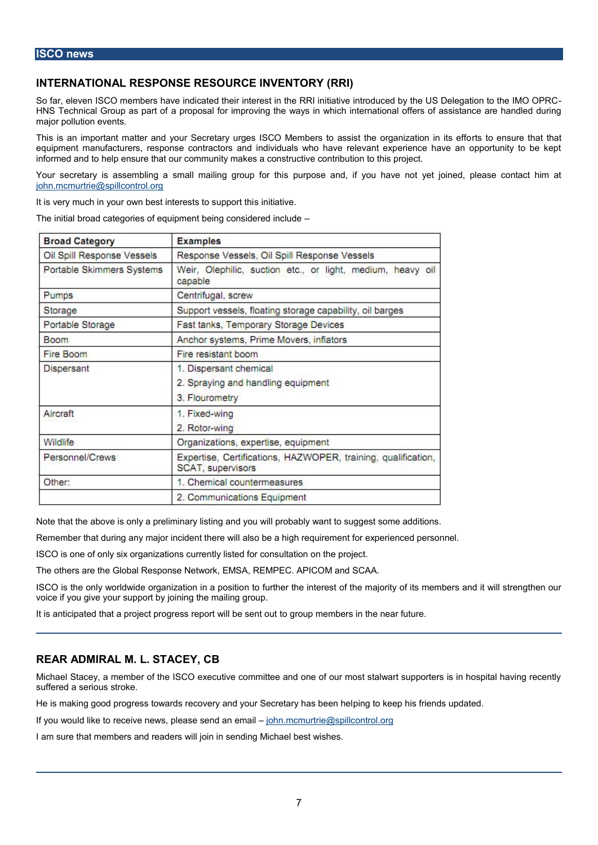## INTERNATIONAL RESPONSE RESOURCE INVENTORY (RRI)

So far, elleSGe Q memberse indicated their interest in the RRI initiative introduced by the HNS Technical Groupapsopastabffor improving the ways in which international offers of major pollution events.

This is an important matter and your Secretary urges ISCO Memberts tto æs resistet had r equipment manufacturers, response contractors and individuals who have relevant experience informed tamed pensure that our community makes a constructive contribution to this pro

Your secryetias asseegnibalismall mailing gropuup pfoosrethainsd, if you have not yet joined, ple [john.mcmurtrie@spi](mailto:john.mcmurtrie@spillcontrol.org)llcontrol.org

It is very much in your own best instermets as it we support thi

The initial broad categories of equipment being considered include

Note that the above is onlying paneld myion a will is getrobably want to suggest some additions. Remembt hat during any major incad subto the tree huilt ement for experienced personnel. ISCOs one of only six organizations currently listed for consultation on the project. The others the Global Response Network, EMSA, REMPEC. APICOM and SCAA. ISCO is the only worldwide organization the rat peosint the ensuajority of its members and it w

voice if you give your support by joining the mailing group.

It is anticipated that a project progress perport move in the sent the the artiure.

#### REARADMIRAL M. L. STACEY, CB

Michael Stacey, a member of the ISCO executive committee and one of our most stalw sufferesde a jos is roke.

He is making good progress towards recovery and pyrogurt on Sechetary helasubeleane held If you wouldreickee ivte nepwissase send annoten mannic murtrie@spillcontrol.org I am sure that members and readers will join in sending Michael best wishes.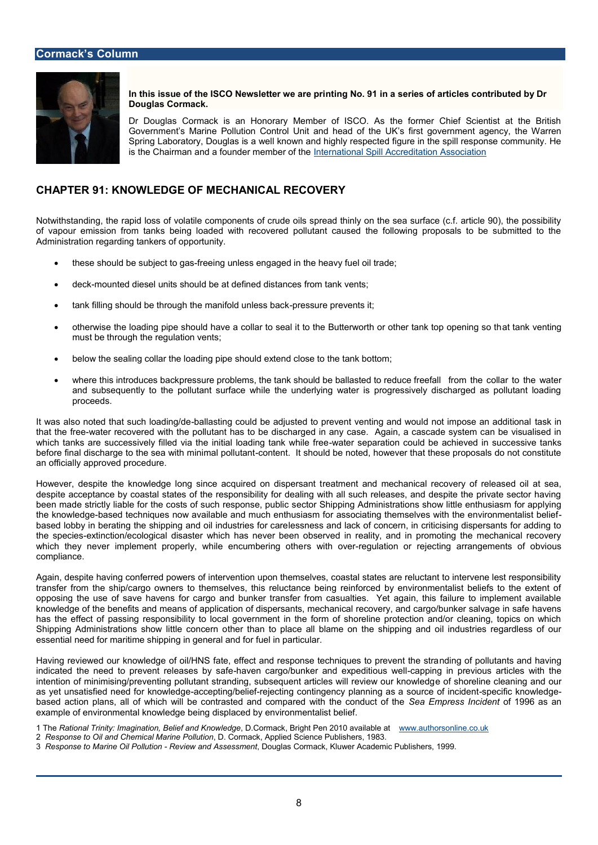In this issue of the ISCO Newshethogr No. ein a desperiies of articles contributed Douglas Cormack.

Dr Douglas Cormack is an Honorary Member of ISCO. As the former Government se MPaorlinution Control Unit and head of the UK s first gover Spring Laboratory, Douglas is a well known and highly respected figure is the Chairman and a foundeln the emmette or noafil the peill Accreditation Association

## CHAPTER **KNOWLEDGE FOOTHANICAL RECOVERY**

Notwithstanding, the rapid loss of volatile components of crude oils spread thinly on of vapro emission from tanks being loaded with recovered pollutant caused the follow Administration regarding tankers of opportunity.

- ð these should be subfiree eting gabess engaged in the heavy fuel oil trade;
- ð· deck-mounted diesel units should be at defined distances from tank vents;
- ð· tank filling should be through the -paraensisfordel prates sant back the t
- ð· otherwise the loading pipe should have a collar to seal it to the Batteaw to the hoirng must be through the regulation vents;
- ð· below the sealing collar the loading pipe should extend close to the tank bottom;
- ð· where this introduces backpressure problems, the tank should dombe hbe a bloald beovolt the co and subsequently to the pollutant surface while the underlying water is progre proceeds.

It was also noted that subcahilalosatichigngo/odueld be adjusted to prevent venting and whao sull dimot that the water recovered with the pollutant has to be discharged in any case. Again, which tanks are successively filled via the in-witabelriosaeplianropat**ion kcow bide bfere acenderial and succe** before final discharge to the sea wcion his minimal shouluidabe noted, however that these pro an officially approved procedure.

However, despite the knowledge long since rae aquiered and dimespontantical recovery of released of released of  $\epsilon$ despite acceptance by coastal states of the responsibility for dealing with all such re been made strictly liable for the costs odecsuch SheppiongseA, dpoublisations show little enthusiant contracts the knowledged techniques now available and much enthusiasm for associating themse based lobby in berating the shipping and saile in and it less for care cern, in criticising dispersion the speciets nction/ecological disaster which has never been observed in reality, and which they never implement properly, whsilewith compared aithing obtrefecting arrangement compliance.

Again, despite having conferred powers of intervention upon themselves, coastal state transfer from the ship/cargo ownet bistore hue on the being reinforced by environmentalis opposing the use of save havens for cargo and bunker transfer from casualties. Yet knowledge of the benefits and ome an is dicsfpersperior at imechanical recovery, and cargo/bunk has the effect of passing responsibility to local government in the form of shoreline Shipping Administrations show heint the aconcern over all blame on the shipping and oil industries essential need for maritime shipping in general and for fuel in particular.

Having reviewed our knowledge of oil/HNS fate, effect and resmpoldining eoffeproihlium, the strain polre indicated the need to prevent-hrae veense sargoy/bsafiaker and excpaepopintiniogusin wperleivious articles intention of minimising/preventing pollutant stranding, subseqeuennits anothi**e l**ense wcillel arneivnige wa as yet unsatisfied need -alocrekpntoinvolgekollegikeiefing contingency planning as sapeo.ulfricek.nofwink ediog based action plans, all of which will be contrasted and cScenap Epmeeds swilth ci**talic**ent to On6 deast aomi example of environmental knowledge being displaced by environmentalist belief.

1 ThReational Trinity: Imagination, BelDe **Canndaké k**owBlrei**ghe** Pen 20<u>1MOw availahboles ant l</u>ine.co.uk 2 Response to Oil and Chemical, MarCroemPadkutAppplied Science Publishers, 1983. 3 Response to Marine OiRePvolelw taond AsseBomghets Cormack, Kluwer Academic Publishers, 1999.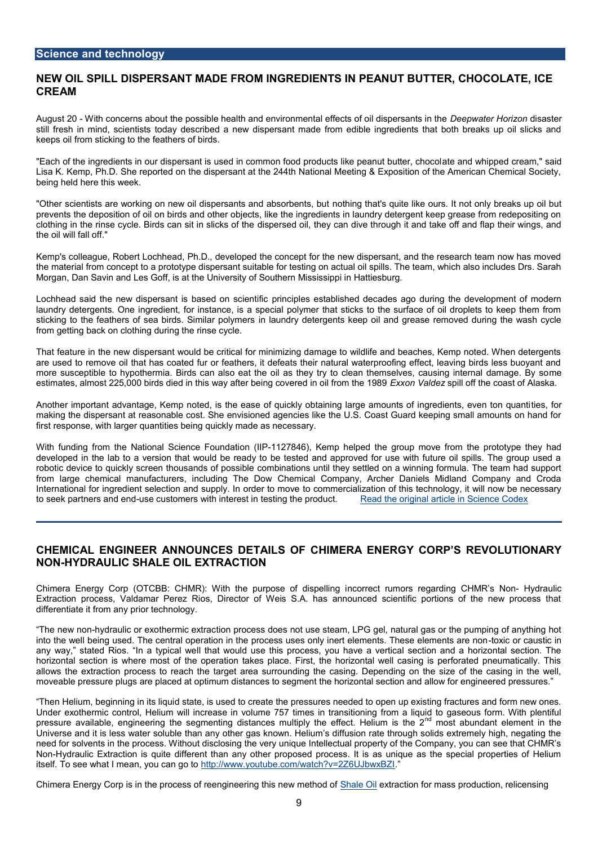### $S$ cience datechnology

NEW OIL SPILL **SASNATER** A DE FROM DINEGORSE IN PEANUT RIGULTHO COLATE, IC CREAM

August-20 0ith concerns about the possible health and environment Dade en formates of hiodoilist continuous still fresh in eminists today described a new dispersant made from edible ingredients keeps oil from sticking to the feathers of birds.

"Each of the ingredients in our dispersant is used in common fabed pand dww bipple ble cpeanuty Lisa K. Kemp, Ph.D. She reported on the dispersant at the 244th National Meeting & E being held here this week.

"Other scientists are working on new oil dispem**sa**lmitnsgathdatal**s** sopurbteentisk, ebouturs. It not onl prevents the deposition of oil on birds and other objects, like the ingredients in laund clothing in the rinse cycle. Birds cohins pseit siend solicks hoefy the and dive through it and take off the oil will fall off."

Kemp's colleague, Robert Lochhead, Ph.D., developed the concept for the new dispers the material from concept type dispersant suitable for testing on actual oil spills. The t Morgan, Dan Savin and Les Goff, is at the University of Southern Mississippi in Hatties

Lochhead said the new dispersant ispbianscepul established decades ago during the de laundry detergents. One ingredient, for instance, is a special polymer that sticks to sticking to the feathers of sea birds. I Soumdray ropectley ropents keep oil and grease removed from getting back on clothing during the rinse cycle.

That feature in the new dispersant would be critical for minimizing damage to wildlife are used to remove oil that has coated fur or feathers, it defeats their natural waterp more susceptible to hypothermia. Birds can also eat the oil as they try to cleanne then estimates, almost 225,000 birds died in this way after Ecexionogn c\bavladameend oinffotihiefrocomastheof1**A**.

Another important advantage, Kemp noted, is the ease of quickly obtaining taes ef amounts of the ingredients o making the dispersant at reasonable cost. She envisioned agencies like the U.S. Coas first response, with larger quantities being quickly made as necessary.

With funding from the National Science Foundati on (IIP -1127846), Kemp helped the group move from the prototype they had developed in the lab to a version that would be ready to be tested and approved for robotic device to quickly screen thosoums bindastion for pousnstilble hey settled on a winning formula from large chemical manufacturers, including The Dow Chemical Company, Archer International for ingredient selection and tosuccomme limation and to move this technology, it will to seek partners used ces to mers with interest in teste read hte eproducted article in Science

## CHEMICAL ENGINENERUNANNES DETAIL BIMOFERG EN ERGY CROERVPOSIUTIONARY NON-HYDRAULIC SHALE TORIAC NIO

 $Chimera$  Energy Corp (OTCBB: CHMR): With the coonunce occurs of disposed a limidain  $\ddot{o}$  - El by dMr Rauslic No Extraction process, Valdamar Perez Rios, Director of Weis S.A. has announced sci differentiate it from any prior technology.

The new-hnyod raulic or exothet im incpent treases does not use steam, LPG gel, natural gas or t into the well being used. The central operation in the process uses ontloyxineort ela umatinct any way, stated Rios. In tahatypwould wese this process, you have a vertical section a horizontal section is where most of the operation takes place. First, the horizontal v allows the extraction pchcelss two retarea surrounding the casing. Depending on the size moveable pressure plugs are placed at optimum distances to segment the horizontal se

Then Helium, beginnid g stian tets is liquisted to create the pressures needed to open up existi Under exothermic control, Helium will increase in volume 757 times in transitioning for pressure available, gent hyperies gimenting distances multiply the <sup>nd</sup> emifoesott about blamm tise lehmee o2 the <sup>nd</sup> emifoesott abound it is the mee o2 the <sup>nd</sup> emifoesott. Universe and it is less water soluble than any other gas known. Helium s diffusion rat need for solvents cens sthe Without disclosing the very unique Intellectual property of the C NorHydraulic Extraction is quite different than any other proposed process. It is as unique as itself. To see wahaty bum eanhtto :t/dwww.youtube.com/watch?v=2Z6UJbwxBZI

Chimera Energy Corp is in the process of reeng Shan et in Digkturhainst in onew for menthanosols op froduction, r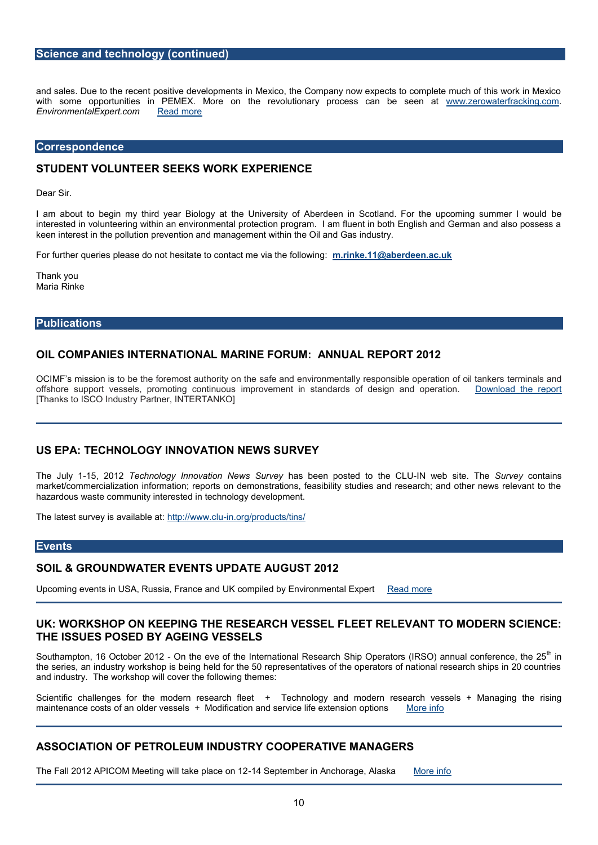### Science and technology (continued)

and sales. Due to the recent positive developments in Mexico, the Company now expec with some opportunities in PEMEX. More on the revolutionary peopossastercfarackbiong: EnvironmentalExpe<u>Rteadmm</u>ore

#### Correspondence

### STUDENT VOLUNTEER SEEKS WORK EXPERIENCE

Dear Sir.

I am about to begin my third year Biology at the University of Aberdeen in Stoetlan interested in volunteering within an environmental protection program. I am fluent in keen interest in the pollution prevention and management within the Oil and Gas indus

For further queries optlehaesseitatbento contact me vina rtilmek efoll lio @waintogradeen.ac.uk

Thank you Maria Rinke

### Publications

OIL COMPANIES INTERNATIONAL MARINE FORUM: ANNUAL REPORT 2

OCIMF s misstoiobne is hemfoos te authority sao free tahred environmense protonalsliyble operation befromiilnalas kæmsl offshore suppepsortels, promoting cimoportion wexton and in standards on obfordersagti<u>nDnownload the</u> repo [Thanks to ISCO Industry Partner, INTERTANKO]

### US EPAECHNOLOGY INNOVANETWOS SURVEY

The July 51, 20T28 chnology Innovation Neswss bSeuernoe prosted telNthwee LCLU te SuTrebye contains market/commercialization information; reports on demonstrations, feasibility studies a hazardous waste community interested in technology development.

The latest survey is haw pill a bolowing to ug/products/tins/

#### Events

SOIL & GROUNDWWATHERSEUPDATE AUGULOST

 $Up$ coming eivne n $U$ t $S$ A, Russia, Francogen pand och  $U$  K  $V$  Environmen Read dExpoented

UK:WORKSHOP ON KETEHPEINRGE SEARCH VELSESSEETL RELEVANT DTEOR NIMISIOIENCE THE ISSUES POSAECOE BANG VESSELS

Southampton, 16 Octo $\Theta$ erth $\Theta$ 1 $\mathcal{Q}$ ve of the Internat $\mathcal{S}$ dnial $\mathcal{R}$ pexsrædaorh (IRSO) annual  $\stackrel{\text{t}}{\circ}$ loimferer the series, an industry workshop is being held for the 50 representatives of the operators of and industhe workshop will cover the following themes:

Scientici challenges for the modern **+eTseecahrotolofog**getand modern resseraM**amagesgethe** rising maintenance costs of as e-Modediticasted n and service life extent significations

ASSOCIATION OF PETROLEUM INDUSTRY COOPERATIVE MANAGERS

The Fall 2012 APICOM Meeting will the bestehands anouth of range, Allaska information of the September of the S